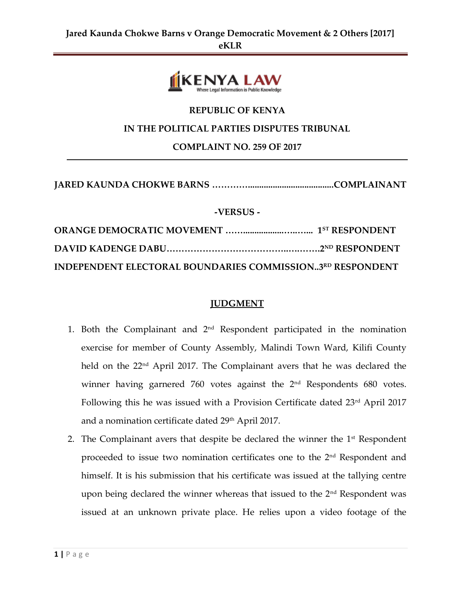

# **REPUBLIC OF KENYA**

#### **IN THE POLITICAL PARTIES DISPUTES TRIBUNAL**

**COMPLAINT NO. 259 OF 2017**

# **JARED KAUNDA CHOKWE BARNS …………......................................COMPLAINANT**

#### **-VERSUS -**

| INDEPENDENT ELECTORAL BOUNDARIES COMMISSION3RD RESPONDENT |  |
|-----------------------------------------------------------|--|

### **JUDGMENT**

- 1. Both the Complainant and 2nd Respondent participated in the nomination exercise for member of County Assembly, Malindi Town Ward, Kilifi County held on the 22nd April 2017. The Complainant avers that he was declared the winner having garnered 760 votes against the 2<sup>nd</sup> Respondents 680 votes. Following this he was issued with a Provision Certificate dated 23<sup>rd</sup> April 2017 and a nomination certificate dated 29<sup>th</sup> April 2017.
- 2. The Complainant avers that despite be declared the winner the  $1<sup>st</sup>$  Respondent proceeded to issue two nomination certificates one to the 2nd Respondent and himself. It is his submission that his certificate was issued at the tallying centre upon being declared the winner whereas that issued to the 2<sup>nd</sup> Respondent was issued at an unknown private place. He relies upon a video footage of the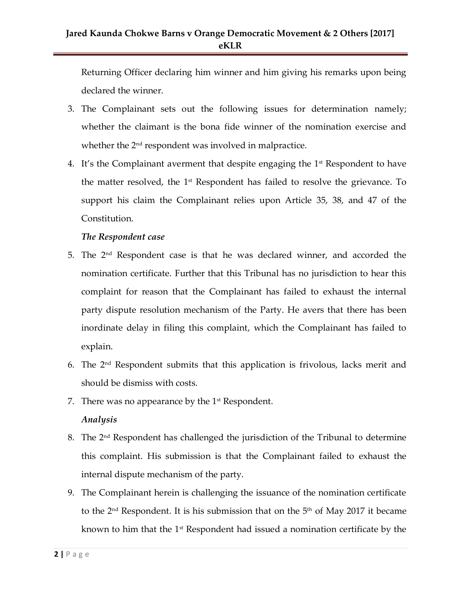Returning Officer declaring him winner and him giving his remarks upon being declared the winner.

- 3. The Complainant sets out the following issues for determination namely; whether the claimant is the bona fide winner of the nomination exercise and whether the  $2<sup>nd</sup>$  respondent was involved in malpractice.
- 4. It's the Complainant averment that despite engaging the  $1<sup>st</sup>$  Respondent to have the matter resolved, the  $1<sup>st</sup>$  Respondent has failed to resolve the grievance. To support his claim the Complainant relies upon Article 35, 38, and 47 of the Constitution.

### *The Respondent case*

- 5. The 2nd Respondent case is that he was declared winner, and accorded the nomination certificate. Further that this Tribunal has no jurisdiction to hear this complaint for reason that the Complainant has failed to exhaust the internal party dispute resolution mechanism of the Party. He avers that there has been inordinate delay in filing this complaint, which the Complainant has failed to explain.
- 6. The 2nd Respondent submits that this application is frivolous, lacks merit and should be dismiss with costs.
- 7. There was no appearance by the  $1<sup>st</sup>$  Respondent.

### *Analysis*

- 8. The 2nd Respondent has challenged the jurisdiction of the Tribunal to determine this complaint. His submission is that the Complainant failed to exhaust the internal dispute mechanism of the party.
- 9. The Complainant herein is challenging the issuance of the nomination certificate to the  $2<sup>nd</sup>$  Respondent. It is his submission that on the  $5<sup>th</sup>$  of May 2017 it became known to him that the 1st Respondent had issued a nomination certificate by the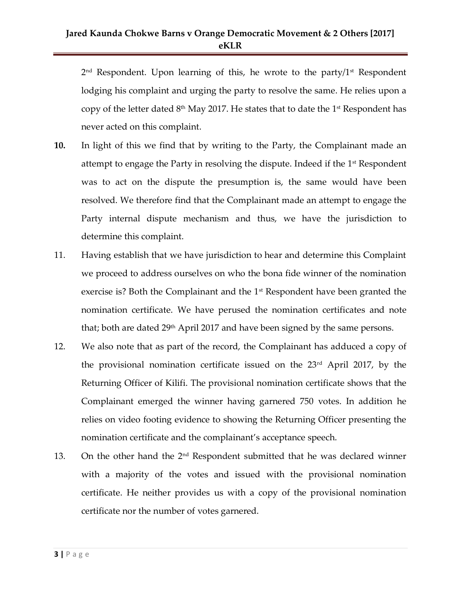# **Jared Kaunda Chokwe Barns v Orange Democratic Movement & 2 Others [2017] eKLR**

2 nd Respondent. Upon learning of this, he wrote to the party/1st Respondent lodging his complaint and urging the party to resolve the same. He relies upon a copy of the letter dated  $8<sup>th</sup>$  May 2017. He states that to date the 1<sup>st</sup> Respondent has never acted on this complaint.

- **10.** In light of this we find that by writing to the Party, the Complainant made an attempt to engage the Party in resolving the dispute. Indeed if the 1<sup>st</sup> Respondent was to act on the dispute the presumption is, the same would have been resolved. We therefore find that the Complainant made an attempt to engage the Party internal dispute mechanism and thus, we have the jurisdiction to determine this complaint.
- 11. Having establish that we have jurisdiction to hear and determine this Complaint we proceed to address ourselves on who the bona fide winner of the nomination exercise is? Both the Complainant and the  $1<sup>st</sup>$  Respondent have been granted the nomination certificate. We have perused the nomination certificates and note that; both are dated  $29<sup>th</sup>$  April 2017 and have been signed by the same persons.
- 12. We also note that as part of the record, the Complainant has adduced a copy of the provisional nomination certificate issued on the  $23<sup>rd</sup>$  April 2017, by the Returning Officer of Kilifi. The provisional nomination certificate shows that the Complainant emerged the winner having garnered 750 votes. In addition he relies on video footing evidence to showing the Returning Officer presenting the nomination certificate and the complainant's acceptance speech.
- 13. On the other hand the  $2<sup>nd</sup>$  Respondent submitted that he was declared winner with a majority of the votes and issued with the provisional nomination certificate. He neither provides us with a copy of the provisional nomination certificate nor the number of votes garnered.